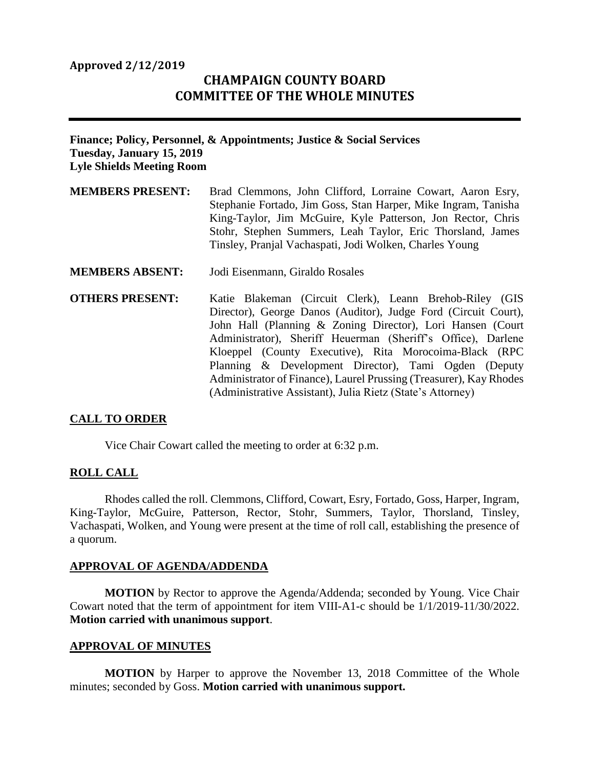## **Approved 2/12/2019**

# **CHAMPAIGN COUNTY BOARD COMMITTEE OF THE WHOLE MINUTES**

## **Finance; Policy, Personnel, & Appointments; Justice & Social Services Tuesday, January 15, 2019 Lyle Shields Meeting Room**

- **MEMBERS PRESENT:** Brad Clemmons, John Clifford, Lorraine Cowart, Aaron Esry, Stephanie Fortado, Jim Goss, Stan Harper, Mike Ingram, Tanisha King-Taylor, Jim McGuire, Kyle Patterson, Jon Rector, Chris Stohr, Stephen Summers, Leah Taylor, Eric Thorsland, James Tinsley, Pranjal Vachaspati, Jodi Wolken, Charles Young
- **MEMBERS ABSENT:** Jodi Eisenmann, Giraldo Rosales
- **OTHERS PRESENT:** Katie Blakeman (Circuit Clerk), Leann Brehob-Riley (GIS Director), George Danos (Auditor), Judge Ford (Circuit Court), John Hall (Planning & Zoning Director), Lori Hansen (Court Administrator), Sheriff Heuerman (Sheriff's Office), Darlene Kloeppel (County Executive), Rita Morocoima-Black (RPC Planning & Development Director), Tami Ogden (Deputy Administrator of Finance), Laurel Prussing (Treasurer), Kay Rhodes (Administrative Assistant), Julia Rietz (State's Attorney)

## **CALL TO ORDER**

Vice Chair Cowart called the meeting to order at 6:32 p.m.

#### **ROLL CALL**

Rhodes called the roll. Clemmons, Clifford, Cowart, Esry, Fortado, Goss, Harper, Ingram, King-Taylor, McGuire, Patterson, Rector, Stohr, Summers, Taylor, Thorsland, Tinsley, Vachaspati, Wolken, and Young were present at the time of roll call, establishing the presence of a quorum.

#### **APPROVAL OF AGENDA/ADDENDA**

**MOTION** by Rector to approve the Agenda/Addenda; seconded by Young. Vice Chair Cowart noted that the term of appointment for item VIII-A1-c should be 1/1/2019-11/30/2022. **Motion carried with unanimous support**.

#### **APPROVAL OF MINUTES**

**MOTION** by Harper to approve the November 13, 2018 Committee of the Whole minutes; seconded by Goss. **Motion carried with unanimous support.**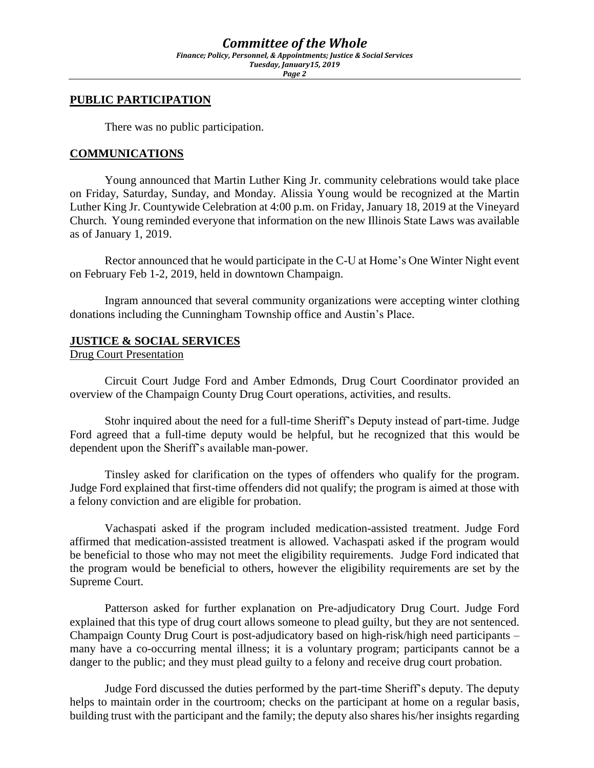*Page 2*

## **PUBLIC PARTICIPATION**

There was no public participation.

## **COMMUNICATIONS**

Young announced that Martin Luther King Jr. community celebrations would take place on Friday, Saturday, Sunday, and Monday. Alissia Young would be recognized at the Martin Luther King Jr. Countywide Celebration at 4:00 p.m. on Friday, January 18, 2019 at the Vineyard Church. Young reminded everyone that information on the new Illinois State Laws was available as of January 1, 2019.

Rector announced that he would participate in the C-U at Home's One Winter Night event on February Feb 1-2, 2019, held in downtown Champaign.

Ingram announced that several community organizations were accepting winter clothing donations including the Cunningham Township office and Austin's Place.

## **JUSTICE & SOCIAL SERVICES**

### Drug Court Presentation

Circuit Court Judge Ford and Amber Edmonds, Drug Court Coordinator provided an overview of the Champaign County Drug Court operations, activities, and results.

Stohr inquired about the need for a full-time Sheriff's Deputy instead of part-time. Judge Ford agreed that a full-time deputy would be helpful, but he recognized that this would be dependent upon the Sheriff's available man-power.

Tinsley asked for clarification on the types of offenders who qualify for the program. Judge Ford explained that first-time offenders did not qualify; the program is aimed at those with a felony conviction and are eligible for probation.

Vachaspati asked if the program included medication-assisted treatment. Judge Ford affirmed that medication-assisted treatment is allowed. Vachaspati asked if the program would be beneficial to those who may not meet the eligibility requirements. Judge Ford indicated that the program would be beneficial to others, however the eligibility requirements are set by the Supreme Court.

Patterson asked for further explanation on Pre-adjudicatory Drug Court. Judge Ford explained that this type of drug court allows someone to plead guilty, but they are not sentenced. Champaign County Drug Court is post-adjudicatory based on high-risk/high need participants – many have a co-occurring mental illness; it is a voluntary program; participants cannot be a danger to the public; and they must plead guilty to a felony and receive drug court probation.

Judge Ford discussed the duties performed by the part-time Sheriff's deputy. The deputy helps to maintain order in the courtroom; checks on the participant at home on a regular basis, building trust with the participant and the family; the deputy also shares his/her insights regarding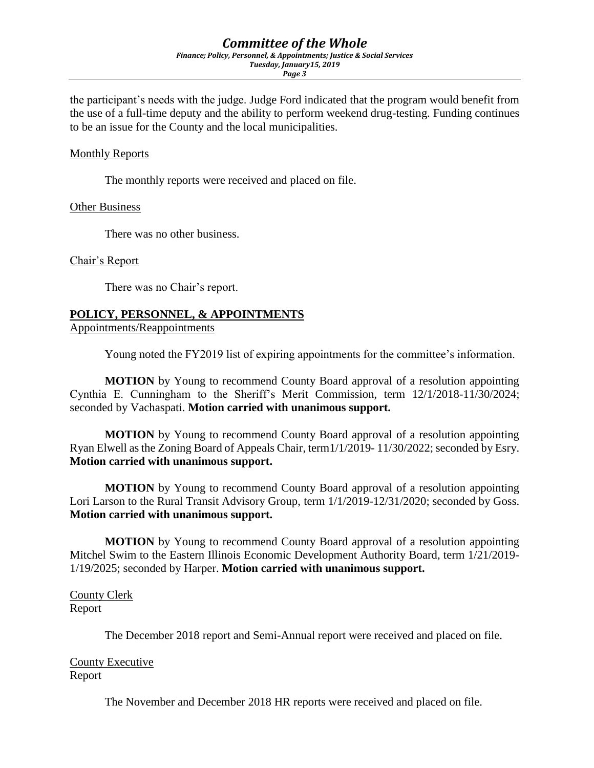*Page 3*

the participant's needs with the judge. Judge Ford indicated that the program would benefit from the use of a full-time deputy and the ability to perform weekend drug-testing. Funding continues to be an issue for the County and the local municipalities.

## Monthly Reports

The monthly reports were received and placed on file.

#### Other Business

There was no other business.

### Chair's Report

There was no Chair's report.

## **POLICY, PERSONNEL, & APPOINTMENTS**

Appointments/Reappointments

Young noted the FY2019 list of expiring appointments for the committee's information.

**MOTION** by Young to recommend County Board approval of a resolution appointing Cynthia E. Cunningham to the Sheriff's Merit Commission, term 12/1/2018-11/30/2024; seconded by Vachaspati. **Motion carried with unanimous support.**

**MOTION** by Young to recommend County Board approval of a resolution appointing Ryan Elwell as the Zoning Board of Appeals Chair, term1/1/2019- 11/30/2022; seconded by Esry. **Motion carried with unanimous support.** 

**MOTION** by Young to recommend County Board approval of a resolution appointing Lori Larson to the Rural Transit Advisory Group, term 1/1/2019-12/31/2020; seconded by Goss. **Motion carried with unanimous support.**

**MOTION** by Young to recommend County Board approval of a resolution appointing Mitchel Swim to the Eastern Illinois Economic Development Authority Board, term 1/21/2019- 1/19/2025; seconded by Harper. **Motion carried with unanimous support.**

County Clerk Report

The December 2018 report and Semi-Annual report were received and placed on file.

County Executive Report

The November and December 2018 HR reports were received and placed on file.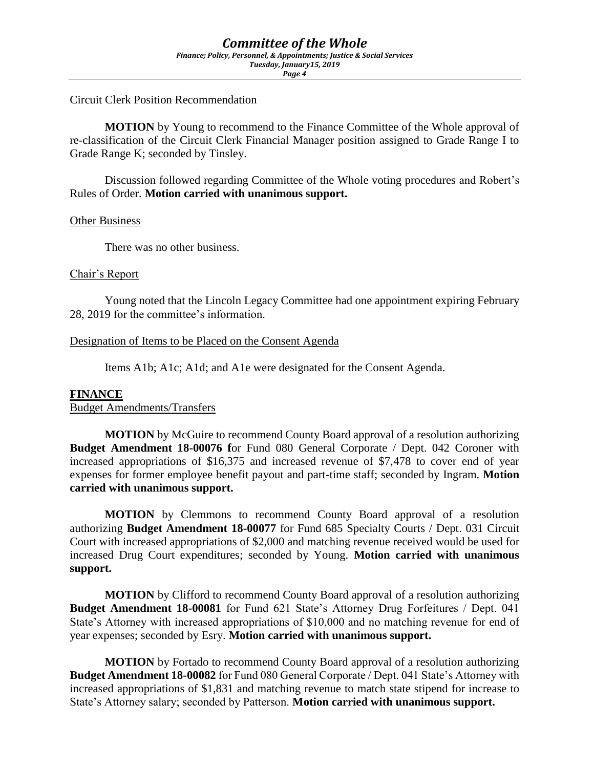Circuit Clerk Position Recommendation

**MOTION** by Young to recommend to the Finance Committee of the Whole approval of re-classification of the Circuit Clerk Financial Manager position assigned to Grade Range I to Grade Range K; seconded by Tinsley.

Discussion followed regarding Committee of the Whole voting procedures and Robert's Rules of Order. **Motion carried with unanimous support.**

#### Other Business

There was no other business.

#### Chair's Report

Young noted that the Lincoln Legacy Committee had one appointment expiring February 28, 2019 for the committee's information.

#### Designation of Items to be Placed on the Consent Agenda

Items A1b; A1c; A1d; and A1e were designated for the Consent Agenda.

#### **FINANCE**

Budget Amendments/Transfers

**MOTION** by McGuire to recommend County Board approval of a resolution authorizing **Budget Amendment 18-00076** for Fund 080 General Corporate / Dept. 042 Coroner with increased appropriations of \$16,375 and increased revenue of \$7,478 to cover end of year expenses for former employee benefit payout and part-time staff; seconded by Ingram. **Motion carried with unanimous support.**

**MOTION** by Clemmons to recommend County Board approval of a resolution authorizing **Budget Amendment 18-00077** for Fund 685 Specialty Courts / Dept. 031 Circuit Court with increased appropriations of \$2,000 and matching revenue received would be used for increased Drug Court expenditures; seconded by Young. **Motion carried with unanimous support.**

**MOTION** by Clifford to recommend County Board approval of a resolution authorizing **Budget Amendment 18-00081** for Fund 621 State's Attorney Drug Forfeitures / Dept. 041 State's Attorney with increased appropriations of \$10,000 and no matching revenue for end of year expenses; seconded by Esry. **Motion carried with unanimous support.**

**MOTION** by Fortado to recommend County Board approval of a resolution authorizing **Budget Amendment 18-00082** for Fund 080 General Corporate / Dept. 041 State's Attorney with increased appropriations of \$1,831 and matching revenue to match state stipend for increase to State's Attorney salary; seconded by Patterson. **Motion carried with unanimous support.**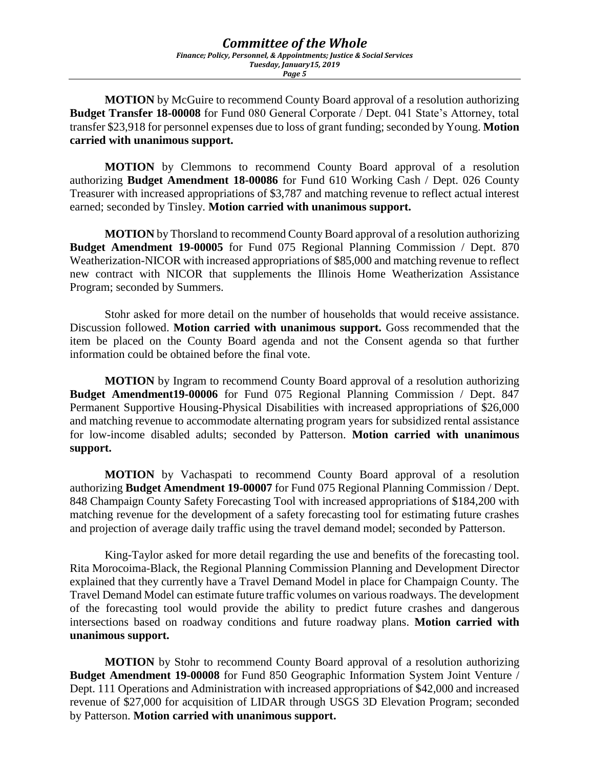**MOTION** by McGuire to recommend County Board approval of a resolution authorizing **Budget Transfer 18-00008** for Fund 080 General Corporate / Dept. 041 State's Attorney, total transfer \$23,918 for personnel expenses due to loss of grant funding; seconded by Young. **Motion carried with unanimous support.**

**MOTION** by Clemmons to recommend County Board approval of a resolution authorizing **Budget Amendment 18-00086** for Fund 610 Working Cash / Dept. 026 County Treasurer with increased appropriations of \$3,787 and matching revenue to reflect actual interest earned; seconded by Tinsley. **Motion carried with unanimous support.** 

**MOTION** by Thorsland to recommend County Board approval of a resolution authorizing **Budget Amendment 19-00005** for Fund 075 Regional Planning Commission / Dept. 870 Weatherization-NICOR with increased appropriations of \$85,000 and matching revenue to reflect new contract with NICOR that supplements the Illinois Home Weatherization Assistance Program; seconded by Summers.

Stohr asked for more detail on the number of households that would receive assistance. Discussion followed. **Motion carried with unanimous support.** Goss recommended that the item be placed on the County Board agenda and not the Consent agenda so that further information could be obtained before the final vote.

**MOTION** by Ingram to recommend County Board approval of a resolution authorizing **Budget Amendment19-00006** for Fund 075 Regional Planning Commission / Dept. 847 Permanent Supportive Housing-Physical Disabilities with increased appropriations of \$26,000 and matching revenue to accommodate alternating program years for subsidized rental assistance for low-income disabled adults; seconded by Patterson. **Motion carried with unanimous support.** 

**MOTION** by Vachaspati to recommend County Board approval of a resolution authorizing **Budget Amendment 19-00007** for Fund 075 Regional Planning Commission / Dept. 848 Champaign County Safety Forecasting Tool with increased appropriations of \$184,200 with matching revenue for the development of a safety forecasting tool for estimating future crashes and projection of average daily traffic using the travel demand model; seconded by Patterson.

King-Taylor asked for more detail regarding the use and benefits of the forecasting tool. Rita Morocoima-Black, the Regional Planning Commission Planning and Development Director explained that they currently have a Travel Demand Model in place for Champaign County. The Travel Demand Model can estimate future traffic volumes on various roadways. The development of the forecasting tool would provide the ability to predict future crashes and dangerous intersections based on roadway conditions and future roadway plans. **Motion carried with unanimous support.** 

**MOTION** by Stohr to recommend County Board approval of a resolution authorizing **Budget Amendment 19-00008** for Fund 850 Geographic Information System Joint Venture / Dept. 111 Operations and Administration with increased appropriations of \$42,000 and increased revenue of \$27,000 for acquisition of LIDAR through USGS 3D Elevation Program; seconded by Patterson. **Motion carried with unanimous support.**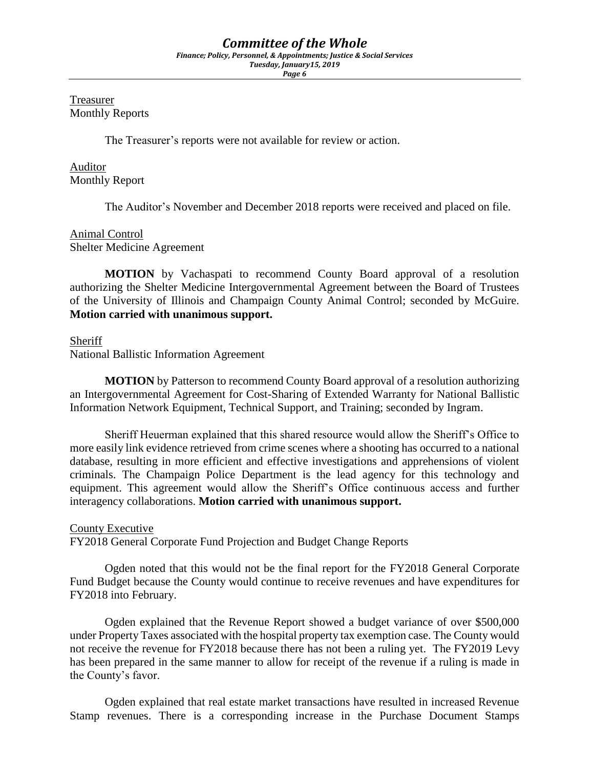# *Committee of the Whole*

*Finance; Policy, Personnel, & Appointments; Justice & Social Services Tuesday, January15, 2019*

*Page 6*

Treasurer Monthly Reports

The Treasurer's reports were not available for review or action.

Auditor Monthly Report

The Auditor's November and December 2018 reports were received and placed on file.

## Animal Control Shelter Medicine Agreement

**MOTION** by Vachaspati to recommend County Board approval of a resolution authorizing the Shelter Medicine Intergovernmental Agreement between the Board of Trustees of the University of Illinois and Champaign County Animal Control; seconded by McGuire. **Motion carried with unanimous support.**

### Sheriff

National Ballistic Information Agreement

**MOTION** by Patterson to recommend County Board approval of a resolution authorizing an Intergovernmental Agreement for Cost-Sharing of Extended Warranty for National Ballistic Information Network Equipment, Technical Support, and Training; seconded by Ingram.

Sheriff Heuerman explained that this shared resource would allow the Sheriff's Office to more easily link evidence retrieved from crime scenes where a shooting has occurred to a national database, resulting in more efficient and effective investigations and apprehensions of violent criminals. The Champaign Police Department is the lead agency for this technology and equipment. This agreement would allow the Sheriff's Office continuous access and further interagency collaborations. **Motion carried with unanimous support.** 

## County Executive

FY2018 General Corporate Fund Projection and Budget Change Reports

Ogden noted that this would not be the final report for the FY2018 General Corporate Fund Budget because the County would continue to receive revenues and have expenditures for FY2018 into February.

Ogden explained that the Revenue Report showed a budget variance of over \$500,000 under Property Taxes associated with the hospital property tax exemption case. The County would not receive the revenue for FY2018 because there has not been a ruling yet. The FY2019 Levy has been prepared in the same manner to allow for receipt of the revenue if a ruling is made in the County's favor.

Ogden explained that real estate market transactions have resulted in increased Revenue Stamp revenues. There is a corresponding increase in the Purchase Document Stamps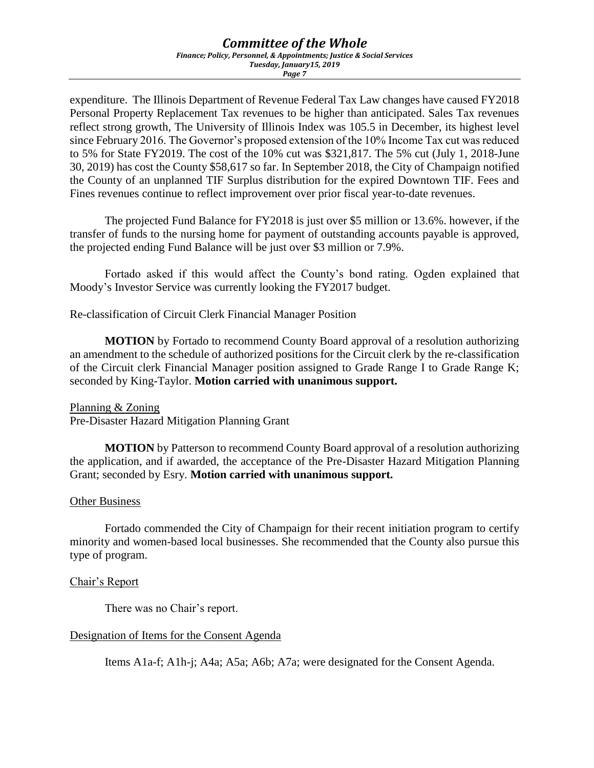# *Committee of the Whole*

*Finance; Policy, Personnel, & Appointments; Justice & Social Services Tuesday, January15, 2019*

*Page 7*

expenditure. The Illinois Department of Revenue Federal Tax Law changes have caused FY2018 Personal Property Replacement Tax revenues to be higher than anticipated. Sales Tax revenues reflect strong growth, The University of Illinois Index was 105.5 in December, its highest level since February 2016. The Governor's proposed extension of the 10% Income Tax cut was reduced to 5% for State FY2019. The cost of the 10% cut was \$321,817. The 5% cut (July 1, 2018-June 30, 2019) has cost the County \$58,617 so far. In September 2018, the City of Champaign notified the County of an unplanned TIF Surplus distribution for the expired Downtown TIF. Fees and Fines revenues continue to reflect improvement over prior fiscal year-to-date revenues.

The projected Fund Balance for FY2018 is just over \$5 million or 13.6%. however, if the transfer of funds to the nursing home for payment of outstanding accounts payable is approved, the projected ending Fund Balance will be just over \$3 million or 7.9%.

Fortado asked if this would affect the County's bond rating. Ogden explained that Moody's Investor Service was currently looking the FY2017 budget.

Re-classification of Circuit Clerk Financial Manager Position

**MOTION** by Fortado to recommend County Board approval of a resolution authorizing an amendment to the schedule of authorized positions for the Circuit clerk by the re-classification of the Circuit clerk Financial Manager position assigned to Grade Range I to Grade Range K; seconded by King-Taylor. **Motion carried with unanimous support.** 

#### Planning & Zoning

Pre-Disaster Hazard Mitigation Planning Grant

**MOTION** by Patterson to recommend County Board approval of a resolution authorizing the application, and if awarded, the acceptance of the Pre-Disaster Hazard Mitigation Planning Grant; seconded by Esry. **Motion carried with unanimous support.** 

## Other Business

Fortado commended the City of Champaign for their recent initiation program to certify minority and women-based local businesses. She recommended that the County also pursue this type of program.

## Chair's Report

There was no Chair's report.

#### Designation of Items for the Consent Agenda

Items A1a-f; A1h-j; A4a; A5a; A6b; A7a; were designated for the Consent Agenda.